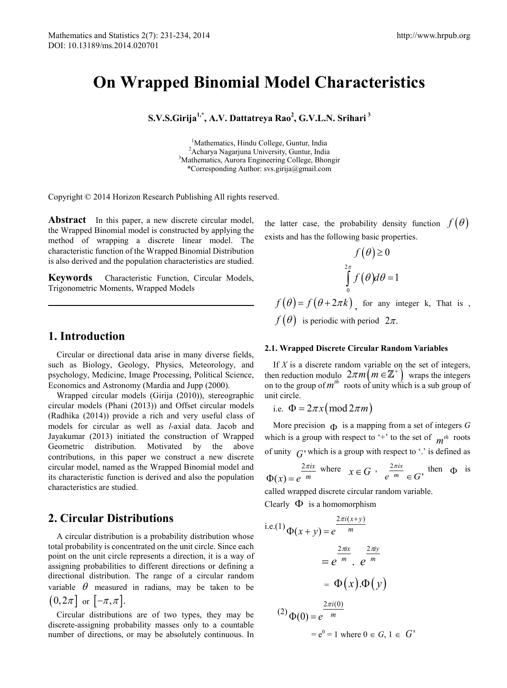# **On Wrapped Binomial Model Characteristics**

**S.V.S.Girija1,\* , A.V. Dattatreya Rao<sup>2</sup> , G.V.L.N. Srihari <sup>3</sup>**

<sup>1</sup>Mathematics, Hindu College, Guntur, India <sup>1</sup>Mathematics, Hindu College, Guntur, India<br><sup>2</sup>Acharya Nagariuna University Guntur, Indi <sup>2</sup> Acharya Nagarjuna University, Guntur, India<br><sup>3</sup> Mathematics, Aurere Engineering College, Photo <sup>3</sup>Mathematics, Aurora Engineering College, Bhongir \*Corresponding Author: svs.girija@gmail.com

Copyright © 2014 Horizon Research Publishing All rights reserved.

Abstract In this paper, a new discrete circular model, the Wrapped Binomial model is constructed by applying the method of wrapping a discrete linear model. The characteristic function of the Wrapped Binomial Distribution is also derived and the population characteristics are studied.

**Keywords** Characteristic Function, Circular Models, Trigonometric Moments, Wrapped Models

### **1. Introduction**

Circular or directional data arise in many diverse fields, such as Biology, Geology, Physics, Meteorology, and psychology, Medicine, Image Processing, Political Science, Economics and Astronomy (Mardia and Jupp (2000).

Wrapped circular models (Girija (2010)), stereographic circular models (Phani (2013)) and Offset circular models (Radhika (2014)) provide a rich and very useful class of models for circular as well as *l*-axial data. Jacob and Jayakumar (2013) initiated the construction of Wrapped Geometric distribution. Motivated by the above contributions, in this paper we construct a new discrete circular model, named as the Wrapped Binomial model and its characteristic function is derived and also the population characteristics are studied.

## **2. Circular Distributions**

A circular distribution is a probability distribution whose total probability is concentrated on the unit circle. Since each point on the unit circle represents a direction, it is a way of assigning probabilities to different directions or defining a directional distribution. The range of a circular random variable  $\theta$  measured in radians, may be taken to be  $(0,2\pi]$  or  $[-\pi,\pi]$ .

Circular distributions are of two types, they may be discrete-assigning probability masses only to a countable number of directions, or may be absolutely continuous. In

the latter case, the probability density function  $f(\theta)$ exists and has the following basic properties.

 $f(x)$ 

$$
f(\theta) \ge 0
$$
  

$$
\int_{0}^{2\pi} f(\theta) d\theta = 1
$$
  

$$
f(\theta) = f(\theta + 2\pi k)
$$
, for any integer k, That is,  

$$
f(\theta)
$$
 is periodic with period  $2\pi$ .

#### **2.1. Wrapped Discrete Circular Random Variables**

If *X* is a discrete random variable on the set of integers, then reduction modulo  $2\pi m (m \in \mathbb{Z}^+)$  wraps the integers on to the group of  $m^{th}$  roots of unity which is a sub group of unit circle.

i.e.  $\Phi = 2\pi x \pmod{2\pi m}$ 

More precision  $\Phi$  is a mapping from a set of integers G which is a group with respect to '+' to the set of  $m^{th}$  roots of unity  $G'$  which is a group with respect to '.' is defined as

$$
\Phi(x) = e^{\frac{2\pi ix}{m} \text{ where }} x \in G , \frac{2\pi ix}{e^m} \in G' \text{ then } \Phi \text{ is}
$$

called wrapped discrete circular random variable. Clearly  $\Phi$  is a homomorphism

i.e.(1) 
$$
\Phi(x + y) = e^{\frac{2\pi i(x + y)}{m}}
$$

$$
= e^{\frac{2\pi i x}{m}} \cdot e^{\frac{2\pi i y}{m}}
$$

$$
= \Phi(x). \Phi(y)
$$

$$
(2) \Phi(0) = e^{\frac{2\pi i(0)}{m}}
$$

$$
= e^0 = 1 \text{ where } 0 \in G, 1 \in G'
$$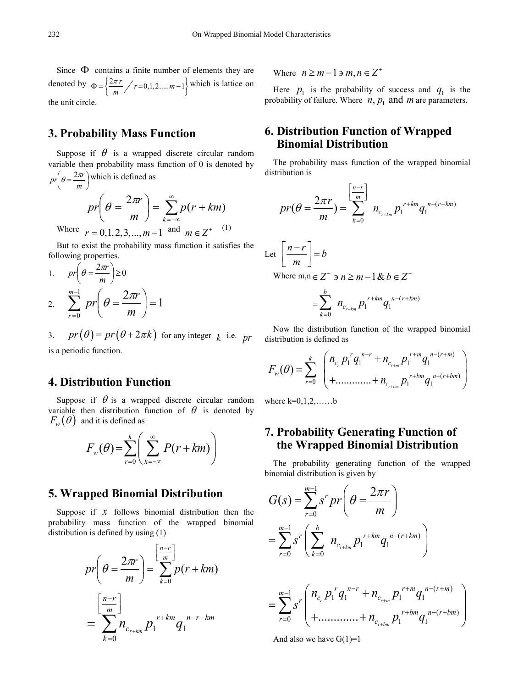Since  $\Phi$  contains a finite number of elements they are denoted by  $\Phi = \left\{ \frac{2\pi r}{m} / r = 0, 1, 2, \dots, m-1 \right\}$  which is lattice on the unit circle.

## **3. Probability Mass Function**

Suppose if  $\theta$  is a wrapped discrete circular random variable then probability mass function of  $\theta$  is denoted by  $pr\left(\theta = \frac{2\pi r}{m}\right)$  which is defined as

$$
pr\left(\theta = \frac{2\pi r}{m}\right) = \sum_{k=-\infty}^{\infty} p(r+km)
$$
  
Where  $r = 0,1,2,3,...,m-1$  and  $m \in Z^{+}$  (1)

But to exist the probability mass function it satisfies the following properties.

1. 
$$
pr\left(\theta = \frac{2\pi r}{m}\right) \ge 0
$$
  
2. 
$$
\sum_{r=0}^{m-1} pr\left(\theta = \frac{2\pi r}{m}\right) = 1
$$

3. 
$$
pr(\theta) = pr(\theta + 2\pi k)
$$
 for any integer  $k$  i.e.  $pr$  is a periodic function.

# **4. Distribution Function**

Suppose if  $\theta$  is a wrapped discrete circular random variable then distribution function of  $\theta$  is denoted by  $F_w(\theta)$  and it is defined as

$$
F_w(\theta) = \sum_{r=0}^k \left( \sum_{k=-\infty}^{\infty} P(r+km) \right)
$$

#### **5. Wrapped Binomial Distribution**

Suppose if  $x$  follows binomial distribution then the probability mass function of the wrapped binomial distribution is defined by using (1)

$$
pr\left(\theta = \frac{2\pi r}{m}\right) = \sum_{k=0}^{\left[\frac{n-r}{m}\right]} p(r+km)
$$

$$
= \sum_{k=0}^{\left[\frac{n-r}{m}\right]} n_{c_{r+km}} p_1^{r+km} q_1^{n-r-km}
$$

Where  $n \geq m-1$   $\geq m, n \in \mathbb{Z}^+$ 

Here  $p_1$  is the probability of success and  $q_1$  is the probability of failure. Where  $n, p_1$  and  $m$  are parameters.

## **6. Distribution Function of Wrapped Binomial Distribution**

The probability mass function of the wrapped binomial distribution is

$$
pr(\theta = \frac{2\pi r}{m}) = \sum_{k=0}^{\left[\frac{n-r}{m}\right]} n_{c_{r+km}} p_1^{r+km} q_1^{n-(r+km)}
$$

Let 
$$
\left[\frac{n-r}{m}\right] = b
$$
  
Where  $m, n \in \mathbb{Z}^+$   $\Rightarrow n \ge m - 1$  &  $b \in \mathbb{Z}^+$ 

$$
=\sum_{k=0}^b n_{c_{r+km}} p_1^{r+km} q_1^{n-(r+km)}
$$

Now the distribution function of the wrapped binomial distribution is defined as

$$
F_{w}(\theta) = \sum_{r=0}^{k} \begin{pmatrix} n_{c_r} p_1^r q_1^{n-r} + n_{c_{r+m}} p_1^{r+m} q_1^{n-(r+m)} \\ + \dots + n_{c_{r+bm}} p_1^{r+bm} q_1^{n-(r+bm)} \end{pmatrix}
$$

where  $k=0,1,2,\ldots,b$ 

## **7. Probability Generating Function of the Wrapped Binomial Distribution**

The probability generating function of the wrapped binomial distribution is given by

$$
G(s) = \sum_{r=0}^{m-1} s^r pr\left(\theta = \frac{2\pi r}{m}\right)
$$
  
= 
$$
\sum_{r=0}^{m-1} s^r \left(\sum_{k=0}^{b} n_{c_{r+km}} p_1^{r+km} q_1^{n-(r+km)}\right)
$$
  
= 
$$
\sum_{r=0}^{m-1} s^r \left(\frac{n_{c_r} p_1^r q_1^{n-r} + n_{c_{r+m}} p_1^{r+m} q_1^{n-(r+m)}}{+ \dots + n_{c_{r+bm}} p_1^{r+bm} q_1^{n-(r+bm)}}\right)
$$

And also we have  $G(1)=1$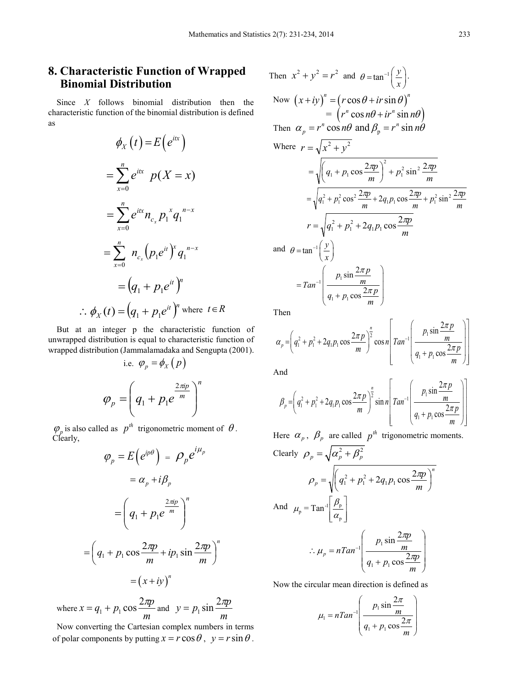## **8. Characteristic Function of Wrapped Binomial Distribution**

Since *X* follows binomial distribution then the characteristic function of the binomial distribution is defined as

$$
\phi_X(t) = E(e^{itx})
$$
\n
$$
= \sum_{x=0}^n e^{itx} p(X = x)
$$
\n
$$
= \sum_{x=0}^n e^{itx} n_{c_x} p_1^x q_1^{n-x}
$$
\n
$$
= \sum_{x=0}^n n_{c_x} (p_1 e^{it})^x q_1^{n-x}
$$
\n
$$
= (q_1 + p_1 e^{it})^n
$$
\n
$$
\therefore \phi_X(t) = (q_1 + p_1 e^{it})^n \text{ where } t \in R
$$

But at an integer p the characteristic function of unwrapped distribution is equal to characteristic function of wrapped distribution (Jammalamadaka and Sengupta (2001).

i.e. 
$$
\varphi_p = \phi_X(p)
$$
  

$$
\varphi_p = \left(q_1 + p_1 e^{\frac{2\pi i p}{m}}\right)^n
$$

 $\varphi_p$  is also called as  $p^{th}$  trigonometric moment of  $\theta$ . Clearly,

$$
\varphi_p = E\left(e^{ip\theta}\right) = \rho_p e^{i\mu_p}
$$

$$
= \alpha_p + i\beta_p
$$

$$
= \left(q_1 + p_1 e^{\frac{2\pi ip}{m}}\right)^n
$$

$$
= \left(q_1 + p_1 \cos \frac{2\pi p}{m} + ip_1 \sin \frac{2\pi p}{m}\right)^n
$$

$$
= \left(x + iy\right)^n
$$

where *m*  $x = q_1 + p_1 \cos \frac{2\pi p}{m}$  and  $y = p_1 \sin \frac{2\pi p}{m}$  $y = p_1 \sin \frac{2\pi p}{m}$ 

Now converting the Cartesian complex numbers in terms of polar components by putting  $x = r \cos \theta$ ,  $y = r \sin \theta$ .

Then 
$$
x^2 + y^2 = r^2
$$
 and  $\theta = \tan^{-1}\left(\frac{y}{x}\right)$ .  
\nNow  $\left(x + iy\right)^n = \left(r \cos \theta + ir \sin \theta\right)^n$   
\n $= \left(r^n \cos n\theta + ir^n \sin n\theta\right)$   
\nThen  $\alpha_p = r^n \cos n\theta$  and  $\beta_p = r^n \sin n\theta$   
\nWhere  $r = \sqrt{x^2 + y^2}$   
\n $= \sqrt{\left(q_1 + p_1 \cos \frac{2\pi p}{m}\right)^2 + p_1^2 \sin^2 \frac{2\pi p}{m}}$   
\n $= \sqrt{q_1^2 + p_1^2 \cos^2 \frac{2\pi p}{m} + 2q_1p_1 \cos \frac{2\pi p}{m} + p_1^2 \sin^2 \frac{2\pi p}{m}}$   
\n $r = \sqrt{q_1^2 + p_1^2 + 2q_1p_1 \cos \frac{2\pi p}{m}}$   
\nand  $\theta = \tan^{-1}\left(\frac{y}{x}\right)$   
\nand  $\theta = \tan^{-1}\left(\frac{y}{x}\right)$   
\n $= Tan^{-1}\left(\frac{p_1 \sin \frac{2\pi p}{m}}{q_1 + p_1 \cos \frac{2\pi p}{m}}\right)$ 

Then

$$
\alpha_p = \left(q_1^2 + p_1^2 + 2q_1p_1\cos\frac{2\pi p}{m}\right)^{\frac{n}{2}}\cos n \left[ Tan^{-1}\left(\frac{p_1\sin\frac{2\pi p}{m}}{q_1 + p_1\cos\frac{2\pi p}{m}}\right)\right]
$$

And

$$
\beta_p = \left(q_1^2 + p_1^2 + 2q_1p_1\cos\frac{2\pi p}{m}\right)^{\frac{n}{2}}\sin n \left[ Tan^{-1}\left(\frac{p_1\sin\frac{2\pi p}{m}}{q_1 + p_1\cos\frac{2\pi p}{m}}\right)\right]
$$

Here  $\alpha_p$ ,  $\beta_p$  are called  $p^{th}$  trigonometric moments.

Clearly 
$$
\rho_p = \sqrt{\alpha_p^2 + \beta_p^2}
$$
  
\n
$$
\rho_p = \sqrt{(q_1^2 + p_1^2 + 2q_1p_1\cos\frac{2\pi p}{m})^n}
$$
\nAnd  $\mu_p = \text{Tan}^{-1}\left[\frac{\beta_p}{\alpha_p}\right]$   
\n
$$
\therefore \mu_p = n\text{Tan}^{-1}\left(\frac{p_1\sin\frac{2\pi p}{m}}{q_1 + p_1\cos\frac{2\pi p}{m}}\right)
$$

Now the circular mean direction is defined as

$$
\mu_1 = nTan^{-1} \left( \frac{p_1 \sin \frac{2\pi}{m}}{q_1 + p_1 \cos \frac{2\pi}{m}} \right)
$$